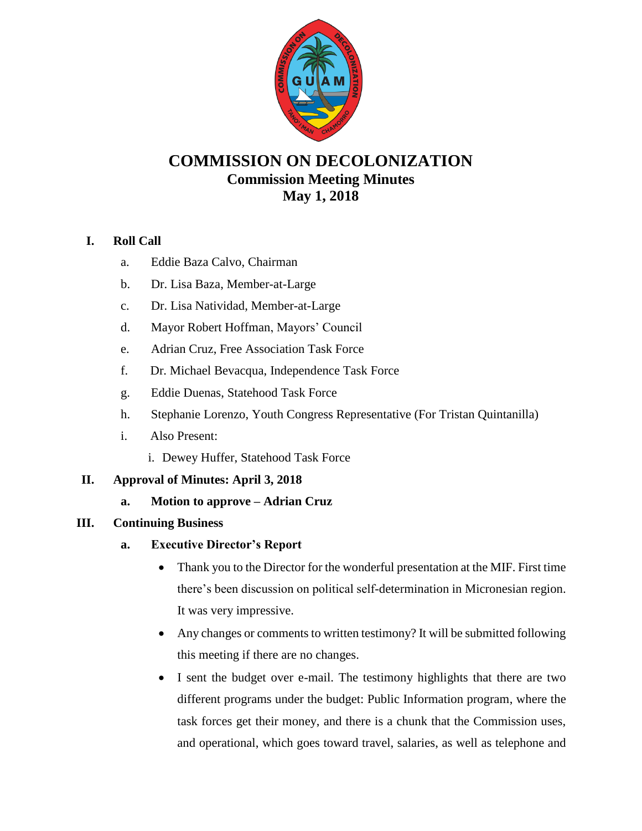

# **COMMISSION ON DECOLONIZATION Commission Meeting Minutes May 1, 2018**

## **I. Roll Call**

- a. Eddie Baza Calvo, Chairman
- b. Dr. Lisa Baza, Member-at-Large
- c. Dr. Lisa Natividad, Member-at-Large
- d. Mayor Robert Hoffman, Mayors' Council
- e. Adrian Cruz, Free Association Task Force
- f. Dr. Michael Bevacqua, Independence Task Force
- g. Eddie Duenas, Statehood Task Force
- h. Stephanie Lorenzo, Youth Congress Representative (For Tristan Quintanilla)
- i. Also Present:
	- i. Dewey Huffer, Statehood Task Force

### **II. Approval of Minutes: April 3, 2018**

**a. Motion to approve – Adrian Cruz**

### **III. Continuing Business**

- **a. Executive Director's Report**
	- Thank you to the Director for the wonderful presentation at the MIF. First time there's been discussion on political self-determination in Micronesian region. It was very impressive.
	- Any changes or comments to written testimony? It will be submitted following this meeting if there are no changes.
	- I sent the budget over e-mail. The testimony highlights that there are two different programs under the budget: Public Information program, where the task forces get their money, and there is a chunk that the Commission uses, and operational, which goes toward travel, salaries, as well as telephone and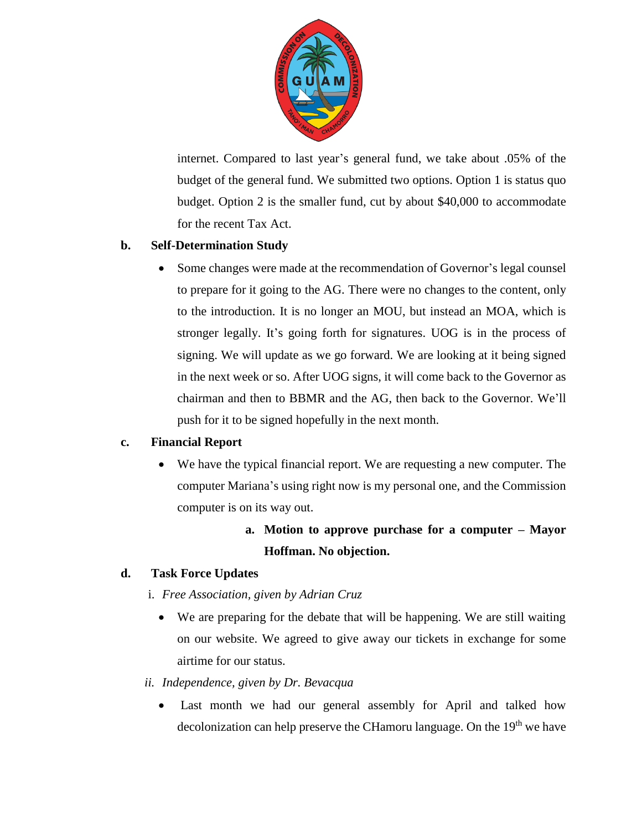

internet. Compared to last year's general fund, we take about .05% of the budget of the general fund. We submitted two options. Option 1 is status quo budget. Option 2 is the smaller fund, cut by about \$40,000 to accommodate for the recent Tax Act.

## **b. Self-Determination Study**

• Some changes were made at the recommendation of Governor's legal counsel to prepare for it going to the AG. There were no changes to the content, only to the introduction. It is no longer an MOU, but instead an MOA, which is stronger legally. It's going forth for signatures. UOG is in the process of signing. We will update as we go forward. We are looking at it being signed in the next week or so. After UOG signs, it will come back to the Governor as chairman and then to BBMR and the AG, then back to the Governor. We'll push for it to be signed hopefully in the next month.

## **c. Financial Report**

 We have the typical financial report. We are requesting a new computer. The computer Mariana's using right now is my personal one, and the Commission computer is on its way out.

# **a. Motion to approve purchase for a computer – Mayor Hoffman. No objection.**

### **d. Task Force Updates**

- i. *Free Association, given by Adrian Cruz*
	- We are preparing for the debate that will be happening. We are still waiting on our website. We agreed to give away our tickets in exchange for some airtime for our status.

### *ii. Independence, given by Dr. Bevacqua*

 Last month we had our general assembly for April and talked how decolonization can help preserve the CHamoru language. On the 19<sup>th</sup> we have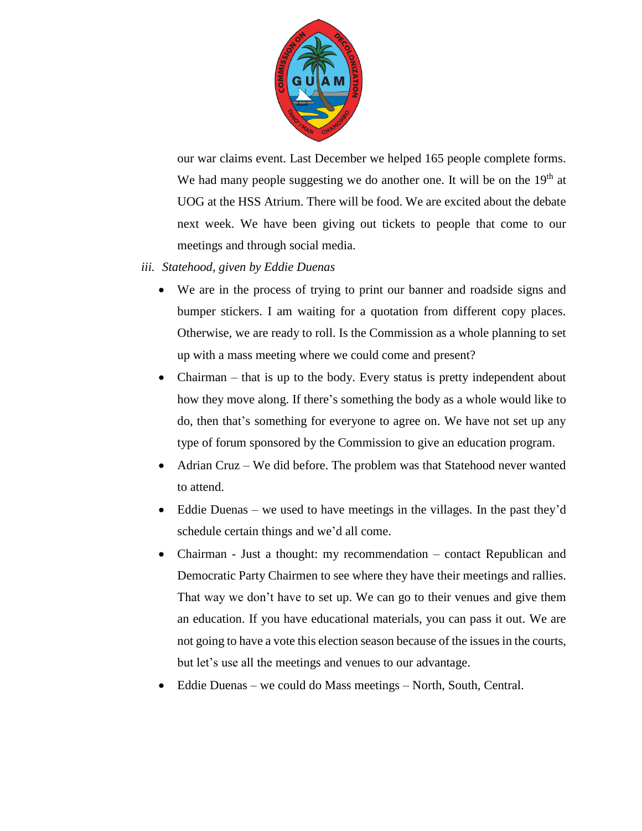

our war claims event. Last December we helped 165 people complete forms. We had many people suggesting we do another one. It will be on the 19<sup>th</sup> at UOG at the HSS Atrium. There will be food. We are excited about the debate next week. We have been giving out tickets to people that come to our meetings and through social media.

- *iii. Statehood, given by Eddie Duenas*
	- We are in the process of trying to print our banner and roadside signs and bumper stickers. I am waiting for a quotation from different copy places. Otherwise, we are ready to roll. Is the Commission as a whole planning to set up with a mass meeting where we could come and present?
	- Chairman that is up to the body. Every status is pretty independent about how they move along. If there's something the body as a whole would like to do, then that's something for everyone to agree on. We have not set up any type of forum sponsored by the Commission to give an education program.
	- Adrian Cruz We did before. The problem was that Statehood never wanted to attend.
	- Eddie Duenas we used to have meetings in the villages. In the past they'd schedule certain things and we'd all come.
	- Chairman Just a thought: my recommendation contact Republican and Democratic Party Chairmen to see where they have their meetings and rallies. That way we don't have to set up. We can go to their venues and give them an education. If you have educational materials, you can pass it out. We are not going to have a vote this election season because of the issues in the courts, but let's use all the meetings and venues to our advantage.
	- Eddie Duenas we could do Mass meetings North, South, Central.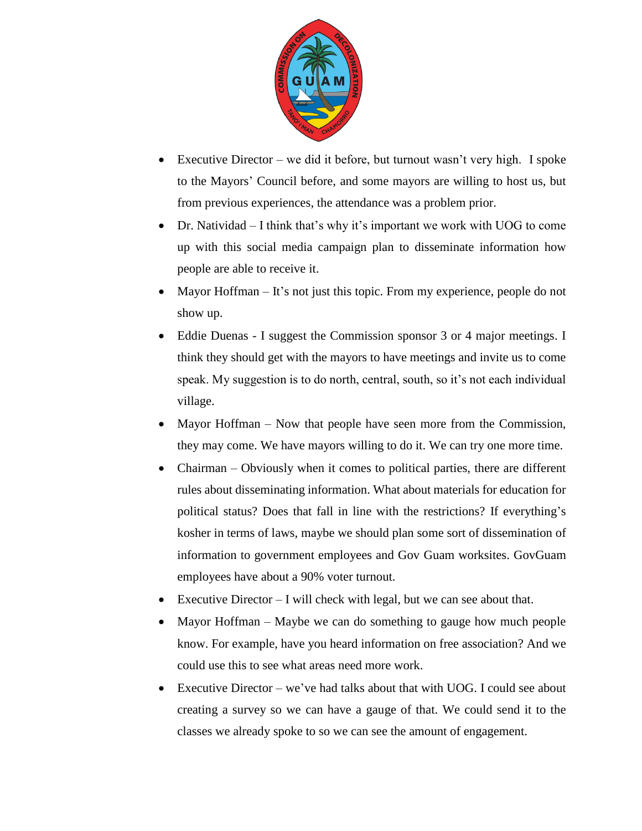

- Executive Director we did it before, but turnout wasn't very high. I spoke to the Mayors' Council before, and some mayors are willing to host us, but from previous experiences, the attendance was a problem prior.
- Dr. Natividad I think that's why it's important we work with UOG to come up with this social media campaign plan to disseminate information how people are able to receive it.
- Mayor Hoffman It's not just this topic. From my experience, people do not show up.
- Eddie Duenas I suggest the Commission sponsor 3 or 4 major meetings. I think they should get with the mayors to have meetings and invite us to come speak. My suggestion is to do north, central, south, so it's not each individual village.
- Mayor Hoffman Now that people have seen more from the Commission, they may come. We have mayors willing to do it. We can try one more time.
- Chairman Obviously when it comes to political parties, there are different rules about disseminating information. What about materials for education for political status? Does that fall in line with the restrictions? If everything's kosher in terms of laws, maybe we should plan some sort of dissemination of information to government employees and Gov Guam worksites. GovGuam employees have about a 90% voter turnout.
- Executive Director I will check with legal, but we can see about that.
- Mayor Hoffman Maybe we can do something to gauge how much people know. For example, have you heard information on free association? And we could use this to see what areas need more work.
- Executive Director we've had talks about that with UOG. I could see about creating a survey so we can have a gauge of that. We could send it to the classes we already spoke to so we can see the amount of engagement.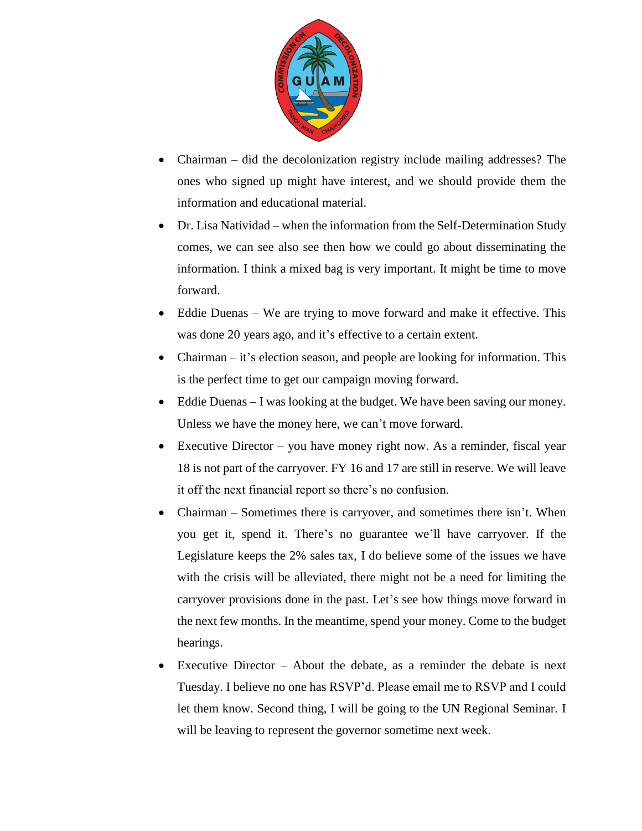

- Chairman did the decolonization registry include mailing addresses? The ones who signed up might have interest, and we should provide them the information and educational material.
- Dr. Lisa Natividad when the information from the Self-Determination Study comes, we can see also see then how we could go about disseminating the information. I think a mixed bag is very important. It might be time to move forward.
- Eddie Duenas We are trying to move forward and make it effective. This was done 20 years ago, and it's effective to a certain extent.
- Chairman it's election season, and people are looking for information. This is the perfect time to get our campaign moving forward.
- Eddie Duenas I was looking at the budget. We have been saving our money. Unless we have the money here, we can't move forward.
- Executive Director you have money right now. As a reminder, fiscal year 18 is not part of the carryover. FY 16 and 17 are still in reserve. We will leave it off the next financial report so there's no confusion.
- Chairman Sometimes there is carryover, and sometimes there isn't. When you get it, spend it. There's no guarantee we'll have carryover. If the Legislature keeps the 2% sales tax, I do believe some of the issues we have with the crisis will be alleviated, there might not be a need for limiting the carryover provisions done in the past. Let's see how things move forward in the next few months. In the meantime, spend your money. Come to the budget hearings.
- Executive Director About the debate, as a reminder the debate is next Tuesday. I believe no one has RSVP'd. Please email me to RSVP and I could let them know. Second thing, I will be going to the UN Regional Seminar. I will be leaving to represent the governor sometime next week.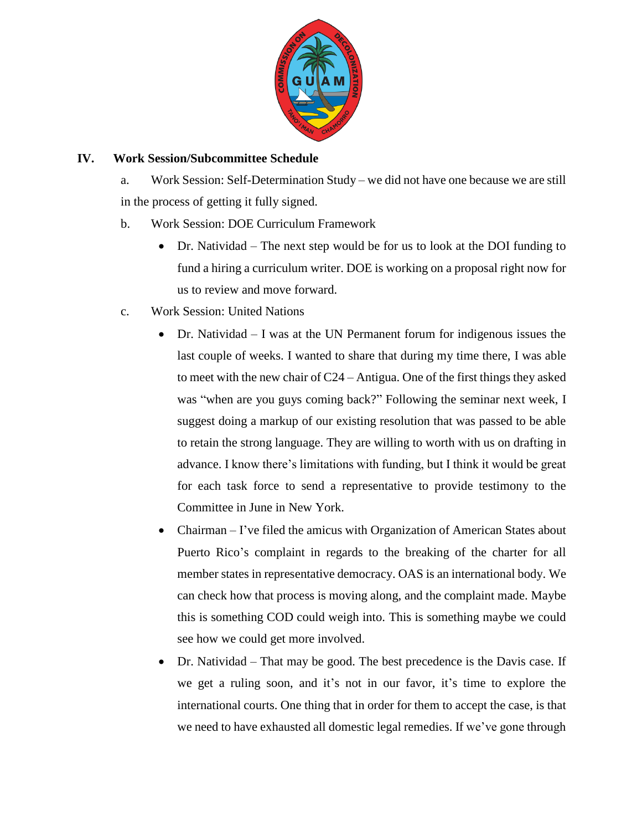

### **IV. Work Session/Subcommittee Schedule**

a. Work Session: Self-Determination Study – we did not have one because we are still in the process of getting it fully signed.

- b. Work Session: DOE Curriculum Framework
	- Dr. Natividad The next step would be for us to look at the DOI funding to fund a hiring a curriculum writer. DOE is working on a proposal right now for us to review and move forward.
- c. Work Session: United Nations
	- Dr. Natividad I was at the UN Permanent forum for indigenous issues the last couple of weeks. I wanted to share that during my time there, I was able to meet with the new chair of C24 – Antigua. One of the first things they asked was "when are you guys coming back?" Following the seminar next week, I suggest doing a markup of our existing resolution that was passed to be able to retain the strong language. They are willing to worth with us on drafting in advance. I know there's limitations with funding, but I think it would be great for each task force to send a representative to provide testimony to the Committee in June in New York.
	- Chairman I've filed the amicus with Organization of American States about Puerto Rico's complaint in regards to the breaking of the charter for all member states in representative democracy. OAS is an international body. We can check how that process is moving along, and the complaint made. Maybe this is something COD could weigh into. This is something maybe we could see how we could get more involved.
	- Dr. Natividad That may be good. The best precedence is the Davis case. If we get a ruling soon, and it's not in our favor, it's time to explore the international courts. One thing that in order for them to accept the case, is that we need to have exhausted all domestic legal remedies. If we've gone through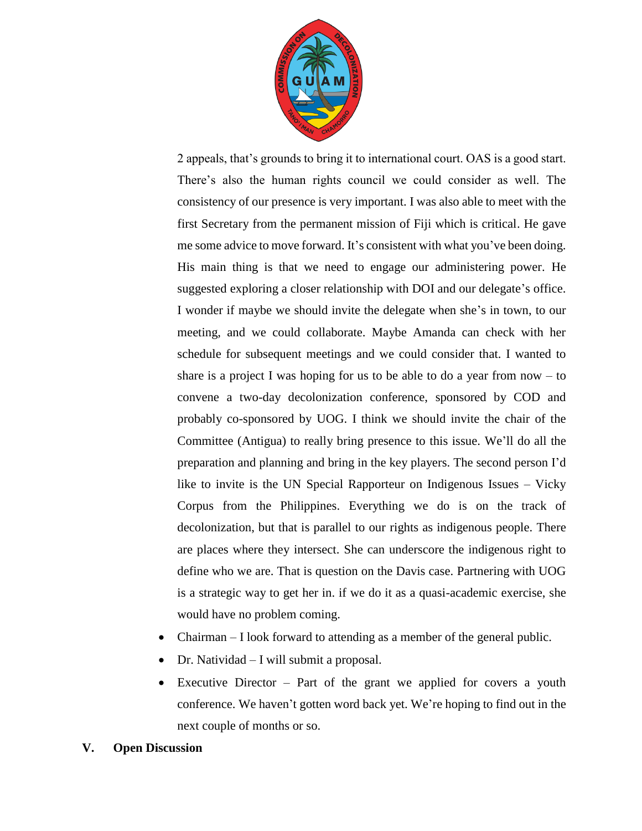

2 appeals, that's grounds to bring it to international court. OAS is a good start. There's also the human rights council we could consider as well. The consistency of our presence is very important. I was also able to meet with the first Secretary from the permanent mission of Fiji which is critical. He gave me some advice to move forward. It's consistent with what you've been doing. His main thing is that we need to engage our administering power. He suggested exploring a closer relationship with DOI and our delegate's office. I wonder if maybe we should invite the delegate when she's in town, to our meeting, and we could collaborate. Maybe Amanda can check with her schedule for subsequent meetings and we could consider that. I wanted to share is a project I was hoping for us to be able to do a year from now  $-$  to convene a two-day decolonization conference, sponsored by COD and probably co-sponsored by UOG. I think we should invite the chair of the Committee (Antigua) to really bring presence to this issue. We'll do all the preparation and planning and bring in the key players. The second person I'd like to invite is the UN Special Rapporteur on Indigenous Issues – Vicky Corpus from the Philippines. Everything we do is on the track of decolonization, but that is parallel to our rights as indigenous people. There are places where they intersect. She can underscore the indigenous right to define who we are. That is question on the Davis case. Partnering with UOG is a strategic way to get her in. if we do it as a quasi-academic exercise, she would have no problem coming.

- Chairman I look forward to attending as a member of the general public.
- Dr. Natividad I will submit a proposal.
- Executive Director Part of the grant we applied for covers a youth conference. We haven't gotten word back yet. We're hoping to find out in the next couple of months or so.
- **V. Open Discussion**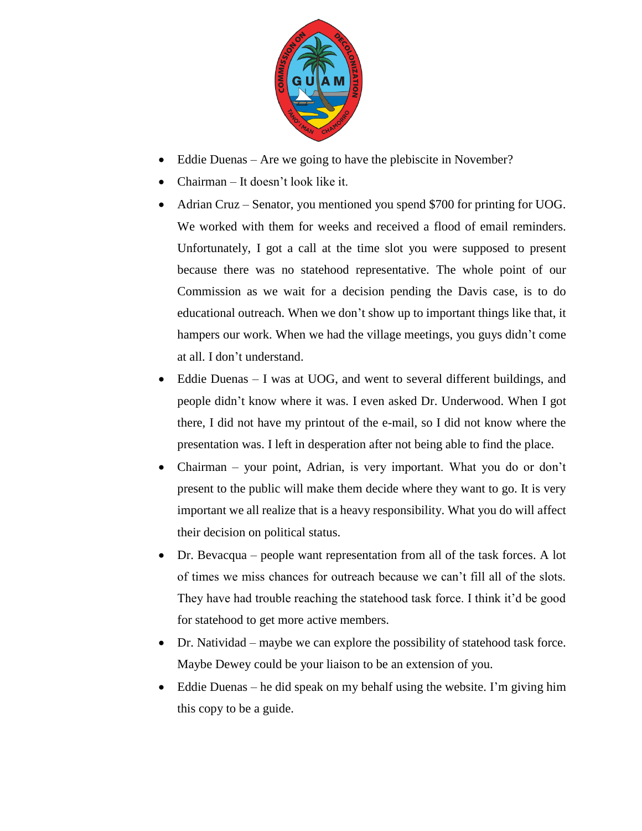

- Eddie Duenas Are we going to have the plebiscite in November?
- Chairman It doesn't look like it.
- Adrian Cruz Senator, you mentioned you spend \$700 for printing for UOG. We worked with them for weeks and received a flood of email reminders. Unfortunately, I got a call at the time slot you were supposed to present because there was no statehood representative. The whole point of our Commission as we wait for a decision pending the Davis case, is to do educational outreach. When we don't show up to important things like that, it hampers our work. When we had the village meetings, you guys didn't come at all. I don't understand.
- Eddie Duenas I was at UOG, and went to several different buildings, and people didn't know where it was. I even asked Dr. Underwood. When I got there, I did not have my printout of the e-mail, so I did not know where the presentation was. I left in desperation after not being able to find the place.
- Chairman your point, Adrian, is very important. What you do or don't present to the public will make them decide where they want to go. It is very important we all realize that is a heavy responsibility. What you do will affect their decision on political status.
- Dr. Bevacqua people want representation from all of the task forces. A lot of times we miss chances for outreach because we can't fill all of the slots. They have had trouble reaching the statehood task force. I think it'd be good for statehood to get more active members.
- Dr. Natividad maybe we can explore the possibility of statehood task force. Maybe Dewey could be your liaison to be an extension of you.
- Eddie Duenas he did speak on my behalf using the website. I'm giving him this copy to be a guide.